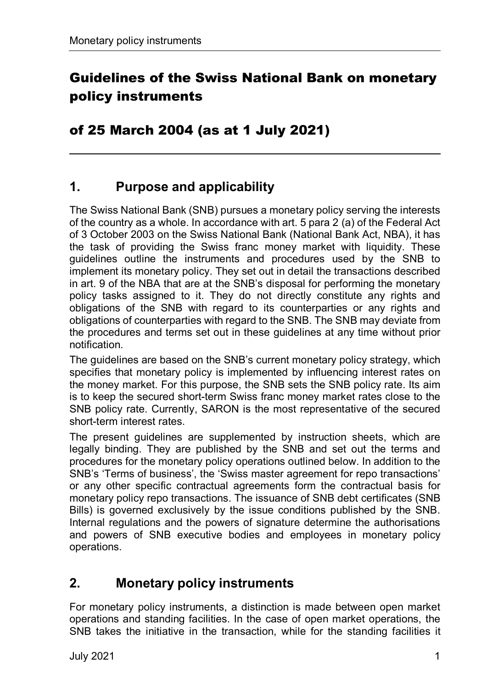# Guidelines of the Swiss National Bank on monetary policy instruments

#### of 25 March 2004 (as at 1 July 2021)

### **1. Purpose and applicability**

The Swiss National Bank (SNB) pursues a monetary policy serving the interests of the country as a whole. In accordance with art. 5 para 2 (a) of the Federal Act of 3 October 2003 on the Swiss National Bank (National Bank Act, NBA), it has the task of providing the Swiss franc money market with liquidity. These guidelines outline the instruments and procedures used by the SNB to implement its monetary policy. They set out in detail the transactions described in art. 9 of the NBA that are at the SNB's disposal for performing the monetary policy tasks assigned to it. They do not directly constitute any rights and obligations of the SNB with regard to its counterparties or any rights and obligations of counterparties with regard to the SNB. The SNB may deviate from the procedures and terms set out in these guidelines at any time without prior notification.

The guidelines are based on the SNB's current monetary policy strategy, which specifies that monetary policy is implemented by influencing interest rates on the money market. For this purpose, the SNB sets the SNB policy rate. Its aim is to keep the secured short-term Swiss franc money market rates close to the SNB policy rate. Currently, SARON is the most representative of the secured short-term interest rates.

The present guidelines are supplemented by instruction sheets, which are legally binding. They are published by the SNB and set out the terms and procedures for the monetary policy operations outlined below. In addition to the SNB's 'Terms of business', the 'Swiss master agreement for repo transactions' or any other specific contractual agreements form the contractual basis for monetary policy repo transactions. The issuance of SNB debt certificates (SNB Bills) is governed exclusively by the issue conditions published by the SNB. Internal regulations and the powers of signature determine the authorisations and powers of SNB executive bodies and employees in monetary policy operations.

## **2. Monetary policy instruments**

For monetary policy instruments, a distinction is made between open market operations and standing facilities. In the case of open market operations, the SNB takes the initiative in the transaction, while for the standing facilities it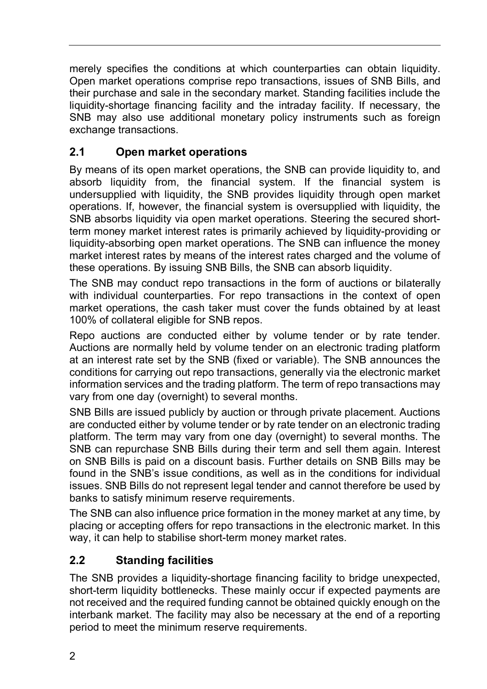merely specifies the conditions at which counterparties can obtain liquidity. Open market operations comprise repo transactions, issues of SNB Bills, and their purchase and sale in the secondary market. Standing facilities include the liquidity-shortage financing facility and the intraday facility. If necessary, the SNB may also use additional monetary policy instruments such as foreign exchange transactions.

### **2.1 Open market operations**

By means of its open market operations, the SNB can provide liquidity to, and absorb liquidity from, the financial system. If the financial system is undersupplied with liquidity, the SNB provides liquidity through open market operations. If, however, the financial system is oversupplied with liquidity, the SNB absorbs liquidity via open market operations. Steering the secured shortterm money market interest rates is primarily achieved by liquidity-providing or liquidity-absorbing open market operations. The SNB can influence the money market interest rates by means of the interest rates charged and the volume of these operations. By issuing SNB Bills, the SNB can absorb liquidity.

The SNB may conduct repo transactions in the form of auctions or bilaterally with individual counterparties. For repo transactions in the context of open market operations, the cash taker must cover the funds obtained by at least 100% of collateral eligible for SNB repos.

Repo auctions are conducted either by volume tender or by rate tender. Auctions are normally held by volume tender on an electronic trading platform at an interest rate set by the SNB (fixed or variable). The SNB announces the conditions for carrying out repo transactions, generally via the electronic market information services and the trading platform. The term of repo transactions may vary from one day (overnight) to several months.

SNB Bills are issued publicly by auction or through private placement. Auctions are conducted either by volume tender or by rate tender on an electronic trading platform. The term may vary from one day (overnight) to several months. The SNB can repurchase SNB Bills during their term and sell them again. Interest on SNB Bills is paid on a discount basis. Further details on SNB Bills may be found in the SNB's issue conditions, as well as in the conditions for individual issues. SNB Bills do not represent legal tender and cannot therefore be used by banks to satisfy minimum reserve requirements.

The SNB can also influence price formation in the money market at any time, by placing or accepting offers for repo transactions in the electronic market. In this way, it can help to stabilise short-term money market rates.

#### **2.2 Standing facilities**

The SNB provides a liquidity-shortage financing facility to bridge unexpected, short-term liquidity bottlenecks. These mainly occur if expected payments are not received and the required funding cannot be obtained quickly enough on the interbank market. The facility may also be necessary at the end of a reporting period to meet the minimum reserve requirements.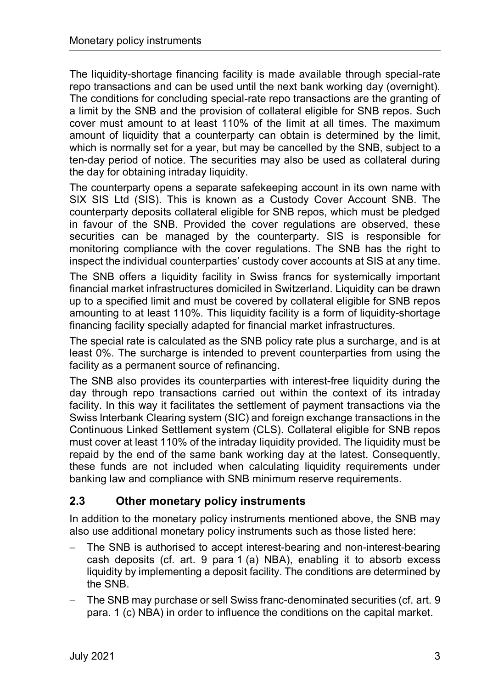The liquidity-shortage financing facility is made available through special-rate repo transactions and can be used until the next bank working day (overnight). The conditions for concluding special-rate repo transactions are the granting of a limit by the SNB and the provision of collateral eligible for SNB repos. Such cover must amount to at least 110% of the limit at all times. The maximum amount of liquidity that a counterparty can obtain is determined by the limit, which is normally set for a year, but may be cancelled by the SNB, subject to a ten-day period of notice. The securities may also be used as collateral during the day for obtaining intraday liquidity.

The counterparty opens a separate safekeeping account in its own name with SIX SIS Ltd (SIS). This is known as a Custody Cover Account SNB. The counterparty deposits collateral eligible for SNB repos, which must be pledged in favour of the SNB. Provided the cover regulations are observed, these securities can be managed by the counterparty. SIS is responsible for monitoring compliance with the cover regulations. The SNB has the right to inspect the individual counterparties' custody cover accounts at SIS at any time.

The SNB offers a liquidity facility in Swiss francs for systemically important financial market infrastructures domiciled in Switzerland. Liquidity can be drawn up to a specified limit and must be covered by collateral eligible for SNB repos amounting to at least 110%. This liquidity facility is a form of liquidity-shortage financing facility specially adapted for financial market infrastructures.

The special rate is calculated as the SNB policy rate plus a surcharge, and is at least 0%. The surcharge is intended to prevent counterparties from using the facility as a permanent source of refinancing.

The SNB also provides its counterparties with interest-free liquidity during the day through repo transactions carried out within the context of its intraday facility. In this way it facilitates the settlement of payment transactions via the Swiss Interbank Clearing system (SIC) and foreign exchange transactions in the Continuous Linked Settlement system (CLS). Collateral eligible for SNB repos must cover at least 110% of the intraday liquidity provided. The liquidity must be repaid by the end of the same bank working day at the latest. Consequently, these funds are not included when calculating liquidity requirements under banking law and compliance with SNB minimum reserve requirements.

#### **2.3 Other monetary policy instruments**

In addition to the monetary policy instruments mentioned above, the SNB may also use additional monetary policy instruments such as those listed here:

- The SNB is authorised to accept interest-bearing and non-interest-bearing cash deposits (cf. art. 9 para 1 (a) NBA), enabling it to absorb excess liquidity by implementing a deposit facility. The conditions are determined by the SNB.
- The SNB may purchase or sell Swiss franc-denominated securities (cf. art. 9 para. 1 (c) NBA) in order to influence the conditions on the capital market.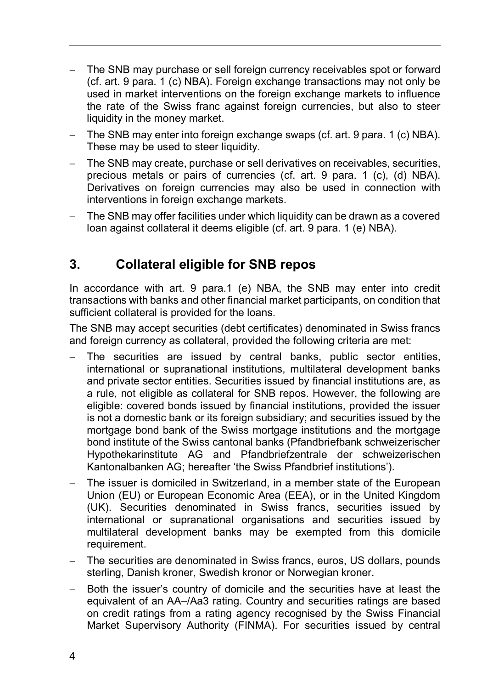- The SNB may purchase or sell foreign currency receivables spot or forward (cf. art. 9 para. 1 (c) NBA). Foreign exchange transactions may not only be used in market interventions on the foreign exchange markets to influence the rate of the Swiss franc against foreign currencies, but also to steer liquidity in the money market.
- The SNB may enter into foreign exchange swaps (cf. art. 9 para. 1 (c) NBA). These may be used to steer liquidity.
- The SNB may create, purchase or sell derivatives on receivables, securities, precious metals or pairs of currencies (cf. art. 9 para. 1 (c), (d) NBA). Derivatives on foreign currencies may also be used in connection with interventions in foreign exchange markets.
- The SNB may offer facilities under which liquidity can be drawn as a covered loan against collateral it deems eligible (cf. art. 9 para. 1 (e) NBA).

## **3. Collateral eligible for SNB repos**

In accordance with art. 9 para.1 (e) NBA, the SNB may enter into credit transactions with banks and other financial market participants, on condition that sufficient collateral is provided for the loans.

The SNB may accept securities (debt certificates) denominated in Swiss francs and foreign currency as collateral, provided the following criteria are met:

- The securities are issued by central banks, public sector entities, international or supranational institutions, multilateral development banks and private sector entities. Securities issued by financial institutions are, as a rule, not eligible as collateral for SNB repos. However, the following are eligible: covered bonds issued by financial institutions, provided the issuer is not a domestic bank or its foreign subsidiary; and securities issued by the mortgage bond bank of the Swiss mortgage institutions and the mortgage bond institute of the Swiss cantonal banks (Pfandbriefbank schweizerischer Hypothekarinstitute AG and Pfandbriefzentrale der schweizerischen Kantonalbanken AG; hereafter 'the Swiss Pfandbrief institutions').
- The issuer is domiciled in Switzerland, in a member state of the European Union (EU) or European Economic Area (EEA), or in the United Kingdom (UK). Securities denominated in Swiss francs, securities issued by international or supranational organisations and securities issued by multilateral development banks may be exempted from this domicile requirement.
- The securities are denominated in Swiss francs, euros, US dollars, pounds sterling, Danish kroner, Swedish kronor or Norwegian kroner.
- Both the issuer's country of domicile and the securities have at least the equivalent of an AA–/Aa3 rating. Country and securities ratings are based on credit ratings from a rating agency recognised by the Swiss Financial Market Supervisory Authority (FINMA). For securities issued by central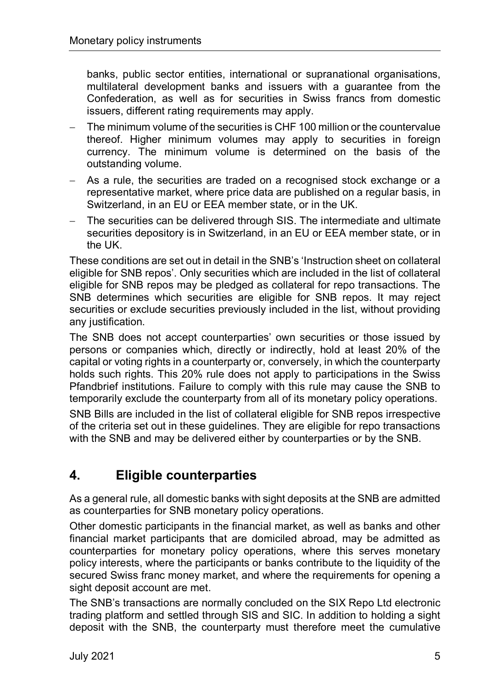banks, public sector entities, international or supranational organisations, multilateral development banks and issuers with a guarantee from the Confederation, as well as for securities in Swiss francs from domestic issuers, different rating requirements may apply.

- The minimum volume of the securities is CHF 100 million or the countervalue thereof. Higher minimum volumes may apply to securities in foreign currency. The minimum volume is determined on the basis of the outstanding volume.
- As a rule, the securities are traded on a recognised stock exchange or a representative market, where price data are published on a regular basis, in Switzerland, in an EU or EEA member state, or in the UK.
- The securities can be delivered through SIS. The intermediate and ultimate securities depository is in Switzerland, in an EU or EEA member state, or in the UK.

These conditions are set out in detail in the SNB's 'Instruction sheet on collateral eligible for SNB repos'. Only securities which are included in the list of collateral eligible for SNB repos may be pledged as collateral for repo transactions. The SNB determines which securities are eligible for SNB repos. It may reject securities or exclude securities previously included in the list, without providing any justification.

The SNB does not accept counterparties' own securities or those issued by persons or companies which, directly or indirectly, hold at least 20% of the capital or voting rights in a counterparty or, conversely, in which the counterparty holds such rights. This 20% rule does not apply to participations in the Swiss Pfandbrief institutions. Failure to comply with this rule may cause the SNB to temporarily exclude the counterparty from all of its monetary policy operations.

SNB Bills are included in the list of collateral eligible for SNB repos irrespective of the criteria set out in these guidelines. They are eligible for repo transactions with the SNB and may be delivered either by counterparties or by the SNB.

## **4. Eligible counterparties**

As a general rule, all domestic banks with sight deposits at the SNB are admitted as counterparties for SNB monetary policy operations.

Other domestic participants in the financial market, as well as banks and other financial market participants that are domiciled abroad, may be admitted as counterparties for monetary policy operations, where this serves monetary policy interests, where the participants or banks contribute to the liquidity of the secured Swiss franc money market, and where the requirements for opening a sight deposit account are met.

The SNB's transactions are normally concluded on the SIX Repo Ltd electronic trading platform and settled through SIS and SIC. In addition to holding a sight deposit with the SNB, the counterparty must therefore meet the cumulative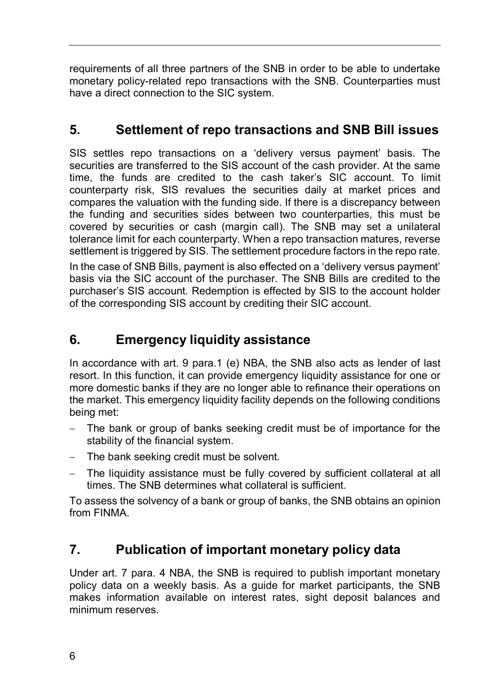requirements of all three partners of the SNB in order to be able to undertake monetary policy-related repo transactions with the SNB. Counterparties must have a direct connection to the SIC system.

# **5. Settlement of repo transactions and SNB Bill issues**

SIS settles repo transactions on a 'delivery versus payment' basis. The securities are transferred to the SIS account of the cash provider. At the same time, the funds are credited to the cash taker's SIC account. To limit counterparty risk, SIS revalues the securities daily at market prices and compares the valuation with the funding side. If there is a discrepancy between the funding and securities sides between two counterparties, this must be covered by securities or cash (margin call). The SNB may set a unilateral tolerance limit for each counterparty. When a repo transaction matures, reverse settlement is triggered by SIS. The settlement procedure factors in the repo rate.

In the case of SNB Bills, payment is also effected on a 'delivery versus payment' basis via the SIC account of the purchaser. The SNB Bills are credited to the purchaser's SIS account. Redemption is effected by SIS to the account holder of the corresponding SIS account by crediting their SIC account.

# **6. Emergency liquidity assistance**

In accordance with art. 9 para.1 (e) NBA, the SNB also acts as lender of last resort. In this function, it can provide emergency liquidity assistance for one or more domestic banks if they are no longer able to refinance their operations on the market. This emergency liquidity facility depends on the following conditions being met:

- The bank or group of banks seeking credit must be of importance for the stability of the financial system.
- The bank seeking credit must be solvent.
- The liquidity assistance must be fully covered by sufficient collateral at all times. The SNB determines what collateral is sufficient.

To assess the solvency of a bank or group of banks, the SNB obtains an opinion from FINMA.

## **7. Publication of important monetary policy data**

Under art. 7 para. 4 NBA, the SNB is required to publish important monetary policy data on a weekly basis. As a guide for market participants, the SNB makes information available on interest rates, sight deposit balances and minimum reserves.